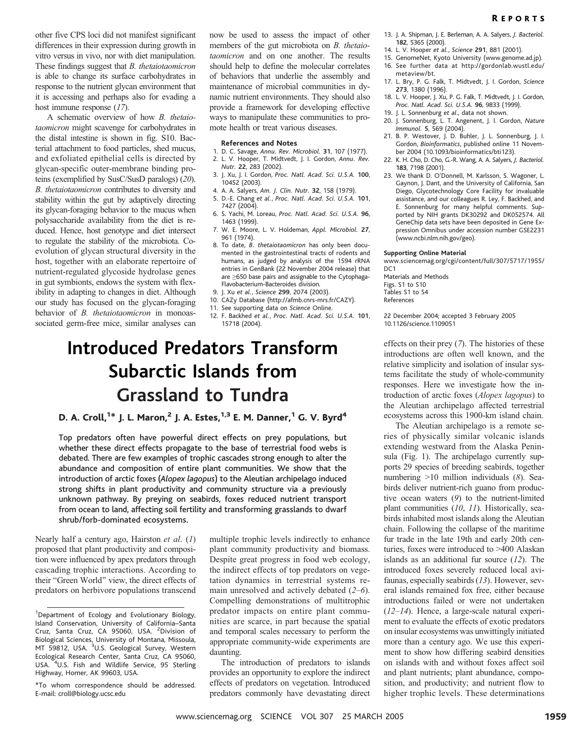other five CPS loci did not manifest significant differences in their expression during growth in vitro versus in vivo, nor with diet manipulation. These findings suggest that B. thetaiotaomicron is able to change its surface carbohydrates in response to the nutrient glycan environment that it is accessing and perhaps also for evading a host immune response (17).

A schematic overview of how B. thetaiotaomicron might scavenge for carbohydrates in the distal intestine is shown in fig. S10. Bacterial attachment to food particles, shed mucus, and exfoliated epithelial cells is directed by glycan-specific outer-membrane binding proteins (exemplified by SusC/SusD paralogs) (20). B. thetaiotaomicron contributes to diversity and stability within the gut by adaptively directing its glycan-foraging behavior to the mucus when polysaccharide availability from the diet is reduced. Hence, host genotype and diet intersect to regulate the stability of the microbiota. Coevolution of glycan structural diversity in the host, together with an elaborate repertoire of nutrient-regulated glycoside hydrolase genes in gut symbionts, endows the system with flexibility in adapting to changes in diet. Although our study has focused on the glycan-foraging behavior of *B. thetaiotaomicron* in monoassociated germ-free mice, similar analyses can now be used to assess the impact of other members of the gut microbiota on B. thetaiotaomicron and on one another. The results should help to define the molecular correlates of behaviors that underlie the assembly and maintenance of microbial communities in dynamic nutrient environments. They should also provide a framework for developing effective ways to manipulate these communities to promote health or treat various diseases.

#### References and Notes

- 1. D. C. Savage, Annu. Rev. Microbiol. 31, 107 (1977).
- 2. L. V. Hooper, T. Midtvedt, J. I. Gordon, Annu. Rev. Nutr. 22, 283 (2002).
- 3. J. Xu, J. I. Gordon, Proc. Natl. Acad. Sci. U.S.A. 100, 10452 (2003).
- 4. A. A. Salyers, Am. J. Clin. Nutr. 32, 158 (1979).
- 5. D.-E. Chang et al., Proc. Natl. Acad. Sci. U.S.A. 101, 7427 (2004). 6. S. Yachi, M. Loreau, Proc. Natl. Acad. Sci. U.S.A. 96,
- 1463 (1999).
- 7. W. E. Moore, L. V. Holdeman, Appl. Microbiol. 27, 961 (1974).
- 8. To date, B. thetaiotaomicron has only been documented in the gastrointestinal tracts of rodents and humans, as judged by analysis of the 1594 rRNA entries in GenBank (22 November 2004 release) that are  $\geq$ 650 base pairs and assignable to the Cytophaga-Flavobacterium-Bacteroides division.
- 9. J. Xu et al., Science 299, 2074 (2003).
- 10. CAZy Database (http://afmb.cnrs-mrs.fr/CAZY).
- 11. See supporting data on Science Online.
- 12. F. Backhed et al., Proc. Natl. Acad. Sci. U.S.A. 101, 15718 (2004).

# Introduced Predators Transform Subarctic Islands from Grassland to Tundra

## D. A. Croll,<sup>1\*</sup> J. L. Maron,<sup>2</sup> J. A. Estes,<sup>1,3</sup> E. M. Danner,<sup>1</sup> G. V. Byrd<sup>4</sup>

Top predators often have powerful direct effects on prey populations, but whether these direct effects propagate to the base of terrestrial food webs is debated. There are few examples of trophic cascades strong enough to alter the abundance and composition of entire plant communities. We show that the introduction of arctic foxes (Alopex lagopus) to the Aleutian archipelago induced strong shifts in plant productivity and community structure via a previously unknown pathway. By preying on seabirds, foxes reduced nutrient transport from ocean to land, affecting soil fertility and transforming grasslands to dwarf shrub/forb-dominated ecosystems.

Nearly half a century ago, Hairston et al. (1) proposed that plant productivity and composition were influenced by apex predators through cascading trophic interactions. According to their "Green World" view, the direct effects of predators on herbivore populations transcend

\*To whom correspondence should be addressed. E-mail: croll@biology.ucsc.edu

multiple trophic levels indirectly to enhance plant community productivity and biomass. Despite great progress in food web ecology, the indirect effects of top predators on vegetation dynamics in terrestrial systems remain unresolved and actively debated  $(2-6)$ . Compelling demonstrations of multitrophic predator impacts on entire plant communities are scarce, in part because the spatial and temporal scales necessary to perform the appropriate community-wide experiments are daunting.

The introduction of predators to islands provides an opportunity to explore the indirect effects of predators on vegetation. Introduced predators commonly have devastating direct

- 13. J. A. Shipman, J. E. Berleman, A. A. Salyers, J. Bacteriol. 182, 5365 (2000).
- 14. L. V. Hooper et al., Science 291, 881 (2001).
- 15. GenomeNet, Kyoto University (www.genome.ad.jp). 16. See further data at http://gordonlab.wustl.edu/ metaview/bt.
- 17. L. Bry, P. G. Falk, T. Midtvedt, J. I. Gordon, Science 273, 1380 (1996).
- 18. L. V. Hooper, J. Xu, P. G. Falk, T. Midtvedt, J. I. Gordon, Proc. Natl. Acad. Sci. U.S.A. 96, 9833 (1999).
- 19. J. L. Sonnenburg et al., data not shown.
- 20. J. Sonnenburg, L. T. Angenent, J. I. Gordon, Nature Immunol. 5, 569 (2004).
- 21. B. P. Westover, J. D. Buhler, J. L. Sonnenburg, J. I. Gordon, Bioinformatics, published online 11 November 2004 (10.1093/bioinformatics/bti123).
- 22. K. H. Cho, D. Cho, G.-R. Wang, A. A. Salyers, J. Bacteriol. 183, 7198 (2001).
- 23. We thank D. O'Donnell, M. Karlsson, S. Wagoner, L. Gaynon, J. Dant, and the University of California, San Diego, Glycotechnology Core Facility for invaluable assistance, and our colleagues R. Ley, F. Backhed, and E. Sonnenburg for many helpful comments. Supported by NIH grants DK30292 and DK052574. All GeneChip data sets have been deposited in Gene Expression Omnibus under accession number GSE2231 (www.ncbi.nlm.nih.gov/geo).

## Supporting Online Material

www.sciencemag.org/cgi/content/full/307/5717/1955/ D<sub>C</sub>1

Materials and Methods Figs. S1 to S10 Tables S1 to S4 References

22 December 2004; accepted 3 February 2005 10.1126/science.1109051

effects on their prey (7). The histories of these introductions are often well known, and the relative simplicity and isolation of insular systems facilitate the study of whole-community responses. Here we investigate how the introduction of arctic foxes (Alopex lagopus) to the Aleutian archipelago affected terrestrial ecosystems across this 1900-km island chain.

The Aleutian archipelago is a remote series of physically similar volcanic islands extending westward from the Alaska Peninsula (Fig. 1). The archipelago currently supports 29 species of breeding seabirds, together numbering  $>10$  million individuals (8). Seabirds deliver nutrient-rich guano from productive ocean waters (9) to the nutrient-limited plant communities (10, 11). Historically, seabirds inhabited most islands along the Aleutian chain. Following the collapse of the maritime fur trade in the late 19th and early 20th centuries, foxes were introduced to >400 Alaskan islands as an additional fur source (12). The introduced foxes severely reduced local avifaunas, especially seabirds (13). However, several islands remained fox free, either because introductions failed or were not undertaken  $(12-14)$ . Hence, a large-scale natural experiment to evaluate the effects of exotic predators on insular ecosystems was unwittingly initiated more than a century ago. We use this experiment to show how differing seabird densities on islands with and without foxes affect soil and plant nutrients; plant abundance, composition, and productivity; and nutrient flow to higher trophic levels. These determinations

<sup>&</sup>lt;sup>1</sup>Department of Ecology and Evolutionary Biology, Island Conservation, University of California–Santa Cruz, Santa Cruz, CA 95060, USA. <sup>2</sup>Division of Biological Sciences, University of Montana, Missoula,<br>MT 59812, USA. <sup>3</sup>U.S. Geological Survey, Western Ecological Research Center, Santa Cruz, CA 95060, USA. <sup>4</sup>U.S. Fish and Wildlife Service, 95 Sterling Highway, Homer, AK 99603, USA.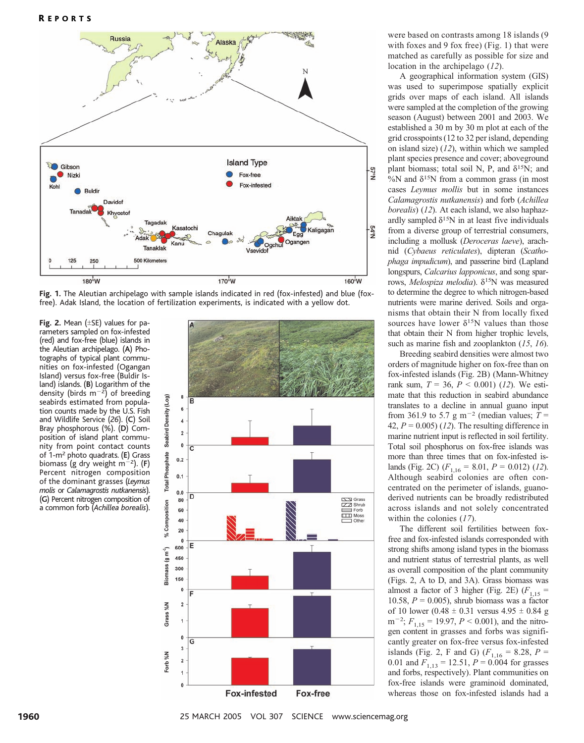



**Fig. 2.** Mean  $(\pm$ SE) values for parameters sampled on fox-infested (red) and fox-free (blue) islands in the Aleutian archipelago. (A) Photographs of typical plant communities on fox-infested (Ogangan Island) versus fox-free (Buldir Island) islands. (B) Logarithm of the density (birds  $m^{-2}$ ) of breeding seabirds estimated from population counts made by the U.S. Fish and Wildlife Service (26). (C) Soil Bray phosphorous (%). (D) Composition of island plant community from point contact counts of 1-m<sup>2</sup> photo quadrats. (E) Grass biomass (g dry weight  $m^{-2}$ ). (F) Percent nitrogen composition of the dominant grasses (Leymus molis or Calamagrostis nutkanensis). (G) Percent nitrogen composition of a common forb (Achillea borealis).



were based on contrasts among 18 islands (9 with foxes and 9 fox free) (Fig. 1) that were matched as carefully as possible for size and location in the archipelago (12).

A geographical information system (GIS) was used to superimpose spatially explicit grids over maps of each island. All islands were sampled at the completion of the growing season (August) between 2001 and 2003. We established a 30 m by 30 m plot at each of the grid crosspoints (12 to 32 per island, depending on island size)  $(12)$ , within which we sampled plant species presence and cover; aboveground plant biomass; total soil N, P, and  $\delta^{15}N$ ; and  $\%$ N and  $\delta^{15}$ N from a common grass (in most cases Leymus mollis but in some instances Calamagrostis nutkanensis) and forb (Achillea borealis) (12). At each island, we also haphazardly sampled  $\delta^{15}N$  in at least five individuals from a diverse group of terrestrial consumers, including a mollusk (Deroceras laeve), arachnid (Cybaeus reticulates), dipteran (Scathophaga impudicum), and passerine bird (Lapland longspurs, Calcarius lapponicus, and song sparrows, Melospiza melodia).  $\delta^{15}$ N was measured to determine the degree to which nitrogen-based nutrients were marine derived. Soils and organisms that obtain their N from locally fixed sources have lower  $\delta^{15}$ N values than those that obtain their N from higher trophic levels, such as marine fish and zooplankton (15, 16).

Breeding seabird densities were almost two orders of magnitude higher on fox-free than on fox-infested islands (Fig. 2B) (Mann-Whitney rank sum,  $T = 36$ ,  $P < 0.001$ ) (12). We estimate that this reduction in seabird abundance translates to a decline in annual guano input from 361.9 to 5.7 g m<sup>-2</sup> (median values;  $T =$ 42,  $P = 0.005$  (12). The resulting difference in marine nutrient input is reflected in soil fertility. Total soil phosphorus on fox-free islands was more than three times that on fox-infested islands (Fig. 2C)  $(F_{1,16} = 8.01, P = 0.012)$  (12). Although seabird colonies are often concentrated on the perimeter of islands, guanoderived nutrients can be broadly redistributed across islands and not solely concentrated within the colonies (17).

The different soil fertilities between foxfree and fox-infested islands corresponded with strong shifts among island types in the biomass and nutrient status of terrestrial plants, as well as overall composition of the plant community (Figs. 2, A to D, and 3A). Grass biomass was almost a factor of 3 higher (Fig. 2E) ( $F_{1,15}$  = 10.58,  $P = 0.005$ ), shrub biomass was a factor of 10 lower (0.48  $\pm$  0.31 versus 4.95  $\pm$  0.84 g  $m^{-2}$ ;  $F_{1,15} = 19.97$ ,  $P < 0.001$ ), and the nitrogen content in grasses and forbs was significantly greater on fox-free versus fox-infested islands (Fig. 2, F and G) ( $F_{1,16} = 8.28$ , P = 0.01 and  $F_{1,13} = 12.51$ ,  $P = 0.004$  for grasses and forbs, respectively). Plant communities on fox-free islands were graminoid dominated, whereas those on fox-infested islands had a